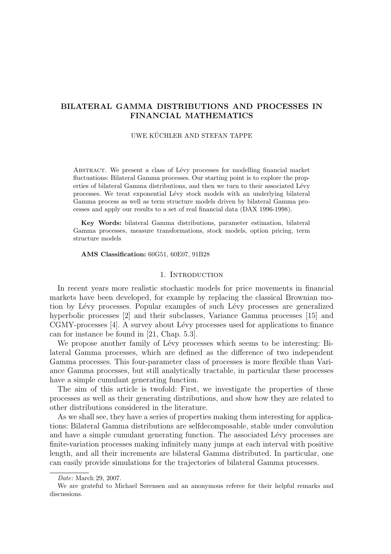# BILATERAL GAMMA DISTRIBUTIONS AND PROCESSES IN FINANCIAL MATHEMATICS

# UWE KÜCHLER AND STEFAN TAPPE

ABSTRACT. We present a class of Lévy processes for modelling financial market fluctuations: Bilateral Gamma processes. Our starting point is to explore the properties of bilateral Gamma distributions, and then we turn to their associated Lévy processes. We treat exponential L´evy stock models with an underlying bilateral Gamma process as well as term structure models driven by bilateral Gamma processes and apply our results to a set of real financial data (DAX 1996-1998).

Key Words: bilateral Gamma distributions, parameter estimation, bilateral Gamma processes, measure transformations, stock models, option pricing, term structure models

AMS Classification: 60G51, 60E07, 91B28

## 1. INTRODUCTION

In recent years more realistic stochastic models for price movements in financial markets have been developed, for example by replacing the classical Brownian motion by Lévy processes. Popular examples of such Lévy processes are generalized hyperbolic processes [2] and their subclasses, Variance Gamma processes [15] and CGMY-processes [4]. A survey about Lévy processes used for applications to finance can for instance be found in [21, Chap. 5.3].

We propose another family of Lévy processes which seems to be interesting: Bilateral Gamma processes, which are defined as the difference of two independent Gamma processes. This four-parameter class of processes is more flexible than Variance Gamma processes, but still analytically tractable, in particular these processes have a simple cumulant generating function.

The aim of this article is twofold: First, we investigate the properties of these processes as well as their generating distributions, and show how they are related to other distributions considered in the literature.

As we shall see, they have a series of properties making them interesting for applications: Bilateral Gamma distributions are selfdecomposable, stable under convolution and have a simple cumulant generating function. The associated Lévy processes are finite-variation processes making infinitely many jumps at each interval with positive length, and all their increments are bilateral Gamma distributed. In particular, one can easily provide simulations for the trajectories of bilateral Gamma processes.

Date: March 29, 2007.

We are grateful to Michael Sørensen and an anonymous referee for their helpful remarks and discussions.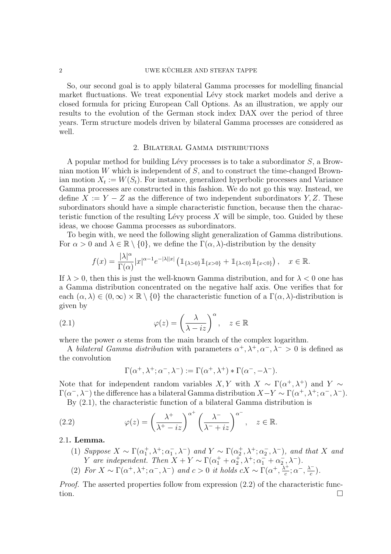## $2$  UWE KÜCHLER AND STEFAN TAPPE

So, our second goal is to apply bilateral Gamma processes for modelling financial market fluctuations. We treat exponential Lévy stock market models and derive a closed formula for pricing European Call Options. As an illustration, we apply our results to the evolution of the German stock index DAX over the period of three years. Term structure models driven by bilateral Gamma processes are considered as well.

# 2. Bilateral Gamma distributions

A popular method for building Lévy processes is to take a subordinator  $S$ , a Brownian motion W which is independent of S, and to construct the time-changed Brownian motion  $X_t := W(S_t)$ . For instance, generalized hyperbolic processes and Variance Gamma processes are constructed in this fashion. We do not go this way. Instead, we define  $X := Y - Z$  as the difference of two independent subordinators  $Y, Z$ . These subordinators should have a simple characteristic function, because then the characteristic function of the resulting Lévy process  $X$  will be simple, too. Guided by these ideas, we choose Gamma processes as subordinators.

To begin with, we need the following slight generalization of Gamma distributions. For  $\alpha > 0$  and  $\lambda \in \mathbb{R} \setminus \{0\}$ , we define the  $\Gamma(\alpha, \lambda)$ -distribution by the density

$$
f(x) = \frac{|\lambda|^{\alpha}}{\Gamma(\alpha)} |x|^{\alpha - 1} e^{-|\lambda||x|} \left( \mathbb{1}_{\{\lambda > 0\}} \mathbb{1}_{\{x > 0\}} + \mathbb{1}_{\{\lambda < 0\}} \mathbb{1}_{\{x < 0\}} \right), \quad x \in \mathbb{R}.
$$

If  $\lambda > 0$ , then this is just the well-known Gamma distribution, and for  $\lambda < 0$  one has a Gamma distribution concentrated on the negative half axis. One verifies that for each  $(\alpha, \lambda) \in (0, \infty) \times \mathbb{R} \setminus \{0\}$  the characteristic function of a  $\Gamma(\alpha, \lambda)$ -distribution is given by

(2.1) 
$$
\varphi(z) = \left(\frac{\lambda}{\lambda - iz}\right)^{\alpha}, \quad z \in \mathbb{R}
$$

where the power  $\alpha$  stems from the main branch of the complex logarithm.

A bilateral Gamma distribution with parameters  $\alpha^+, \lambda^+, \alpha^-, \lambda^- > 0$  is defined as the convolution

$$
\Gamma(\alpha^+, \lambda^+; \alpha^-, \lambda^-) := \Gamma(\alpha^+, \lambda^+) * \Gamma(\alpha^-, -\lambda^-).
$$

Note that for independent random variables  $X, Y$  with  $X \sim \Gamma(\alpha^+, \lambda^+)$  and  $Y \sim$  $\Gamma(\alpha^-, \lambda^-)$  the difference has a bilateral Gamma distribution  $X - Y \sim \Gamma(\alpha^+, \lambda^+; \alpha^-, \lambda^-)$ .

By (2.1), the characteristic function of a bilateral Gamma distribution is  $+$   $\overline{\phantom{0}}$ 

(2.2) 
$$
\varphi(z) = \left(\frac{\lambda^+}{\lambda^+ - iz}\right)^{\alpha^+} \left(\frac{\lambda^-}{\lambda^- + iz}\right)^{\alpha^-}, \quad z \in \mathbb{R}.
$$

## 2.1. Lemma.

- (1) Suppose  $X \sim \Gamma(\alpha_1^+, \lambda^+; \alpha_1^-, \lambda^-)$  and  $Y \sim \Gamma(\alpha_2^+, \lambda^+; \alpha_2^-, \lambda^-)$ , and that X and Y are independent. Then  $X + Y \sim \Gamma(\alpha_1^+ + \alpha_2^+, \lambda^+; \alpha_1^- + \alpha_2^-, \lambda^-).$
- (2) For  $X \sim \Gamma(\alpha^+, \lambda^+; \alpha^-, \lambda^-)$  and  $c > 0$  it holds  $cX \sim \Gamma(\alpha^+, \frac{\lambda^+}{c})$  $\frac{\lambda^{+}}{c};\alpha^{-},\frac{\lambda^{-}}{c}$  $\frac{c}{c}$ ).

*Proof.* The asserted properties follow from expression  $(2.2)$  of the characteristic function.  $\Box$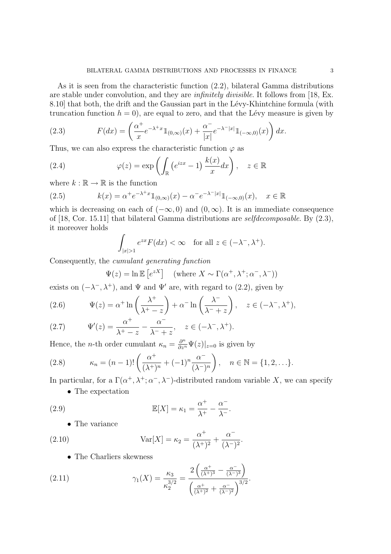As it is seen from the characteristic function (2.2), bilateral Gamma distributions are stable under convolution, and they are *infinitely divisible*. It follows from [18, Ex. 8.10 that both, the drift and the Gaussian part in the Lévy-Khintchine formula (with truncation function  $h = 0$ , are equal to zero, and that the Lévy measure is given by

(2.3) 
$$
F(dx) = \left(\frac{\alpha^+}{x}e^{-\lambda^+x}\mathbb{1}_{(0,\infty)}(x) + \frac{\alpha^-}{|x|}e^{-\lambda^-|x|}\mathbb{1}_{(-\infty,0)}(x)\right)dx.
$$

Thus, we can also express the characteristic function  $\varphi$  as

(2.4) 
$$
\varphi(z) = \exp\left(\int_{\mathbb{R}} \left(e^{izx} - 1\right) \frac{k(x)}{x} dx\right), \quad z \in \mathbb{R}
$$

where  $k : \mathbb{R} \to \mathbb{R}$  is the function

(2.5) 
$$
k(x) = \alpha^+ e^{-\lambda^+ x} \mathbb{1}_{(0,\infty)}(x) - \alpha^- e^{-\lambda^- |x|} \mathbb{1}_{(-\infty,0)}(x), \quad x \in \mathbb{R}
$$

which is decreasing on each of  $(-\infty, 0)$  and  $(0, \infty)$ . It is an immediate consequence of [18, Cor. 15.11] that bilateral Gamma distributions are selfdecomposable. By (2.3), it moreover holds

$$
\int_{|x|>1} e^{zx} F(dx) < \infty \quad \text{for all } z \in (-\lambda^-, \lambda^+).
$$

Consequently, the cumulant generating function

$$
\Psi(z) = \ln \mathbb{E}\left[e^{zX}\right] \quad \text{(where } X \sim \Gamma(\alpha^+, \lambda^+; \alpha^-, \lambda^-))
$$

exists on  $(-\lambda^-, \lambda^+)$ , and  $\Psi$  and  $\Psi'$  are, with regard to (2.2), given by

(2.6) 
$$
\Psi(z) = \alpha^+ \ln \left( \frac{\lambda^+}{\lambda^+ - z} \right) + \alpha^- \ln \left( \frac{\lambda^-}{\lambda^- + z} \right), \quad z \in (-\lambda^-, \lambda^+),
$$

(2.7) 
$$
\Psi'(z) = \frac{\alpha^+}{\lambda^+ - z} - \frac{\alpha^-}{\lambda^- + z}, \quad z \in (-\lambda^-, \lambda^+).
$$

Hence, the *n*-th order cumulant  $\kappa_n = \frac{\partial^n}{\partial z^n} \Psi(z)|_{z=0}$  is given by

(2.8) 
$$
\kappa_n = (n-1)! \left( \frac{\alpha^+}{(\lambda^+)^n} + (-1)^n \frac{\alpha^-}{(\lambda^-)^n} \right), \quad n \in \mathbb{N} = \{1, 2, \ldots\}.
$$

In particular, for a  $\Gamma(\alpha^+, \lambda^+; \alpha^-, \lambda^-)$ -distributed random variable X, we can specify

• The expectation

(2.9) 
$$
\mathbb{E}[X] = \kappa_1 = \frac{\alpha^+}{\lambda^+} - \frac{\alpha^-}{\lambda^-}.
$$

• The variance

(2.10) 
$$
Var[X] = \kappa_2 = \frac{\alpha^+}{(\lambda^+)^2} + \frac{\alpha^-}{(\lambda^-)^2}.
$$

• The Charliers skewness

(2.11) 
$$
\gamma_1(X) = \frac{\kappa_3}{\kappa_2^{3/2}} = \frac{2\left(\frac{\alpha^+}{(\lambda^+)^3} - \frac{\alpha^-}{(\lambda^-)^3}\right)}{\left(\frac{\alpha^+}{(\lambda^+)^2} + \frac{\alpha^-}{(\lambda^-)^2}\right)^{3/2}}.
$$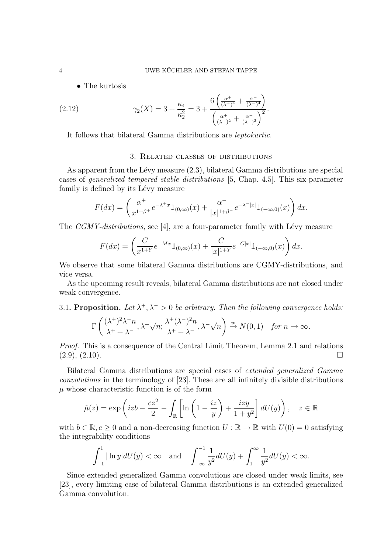• The kurtosis

(2.12) 
$$
\gamma_2(X) = 3 + \frac{\kappa_4}{\kappa_2^2} = 3 + \frac{6\left(\frac{\alpha^+}{(\lambda^+)^4} + \frac{\alpha^-}{(\lambda^-)^4}\right)}{\left(\frac{\alpha^+}{(\lambda^+)^2} + \frac{\alpha^-}{(\lambda^-)^2}\right)^2}.
$$

It follows that bilateral Gamma distributions are leptokurtic.

# 3. Related classes of distributions

As apparent from the Lévy measure  $(2.3)$ , bilateral Gamma distributions are special cases of generalized tempered stable distributions [5, Chap. 4.5]. This six-parameter family is defined by its Lévy measure

$$
F(dx) = \left(\frac{\alpha^+}{x^{1+\beta^+}}e^{-\lambda^+x}\mathbb{1}_{(0,\infty)}(x) + \frac{\alpha^-}{|x|^{1+\beta^-}}e^{-\lambda^-|x|}\mathbb{1}_{(-\infty,0)}(x)\right)dx.
$$

The  $CGMY-distributions$ , see [4], are a four-parameter family with Lévy measure

$$
F(dx) = \left(\frac{C}{x^{1+Y}}e^{-Mx}\mathbb{1}_{(0,\infty)}(x) + \frac{C}{|x|^{1+Y}}e^{-G|x|}\mathbb{1}_{(-\infty,0)}(x)\right)dx.
$$

We observe that some bilateral Gamma distributions are CGMY-distributions, and vice versa.

As the upcoming result reveals, bilateral Gamma distributions are not closed under weak convergence.

# 3.1. Proposition. Let  $\lambda^+$ ,  $\lambda^-$  > 0 be arbitrary. Then the following convergence holds:

$$
\Gamma\left(\frac{(\lambda^+)^2\lambda^-n}{\lambda^++\lambda^-}, \lambda^+\sqrt{n}; \frac{\lambda^+(\lambda^-)^2n}{\lambda^++\lambda^-}, \lambda^-\sqrt{n}\right) \stackrel{w}{\to} N(0,1) \quad \text{for } n \to \infty.
$$

Proof. This is a consequence of the Central Limit Theorem, Lemma 2.1 and relations  $(2.9), (2.10).$ 

Bilateral Gamma distributions are special cases of extended generalized Gamma convolutions in the terminology of [23]. These are all infinitely divisible distributions  $\mu$  whose characteristic function is of the form

$$
\hat{\mu}(z) = \exp\left(izb - \frac{cz^2}{2} - \int_{\mathbb{R}} \left[ \ln\left(1 - \frac{iz}{y}\right) + \frac{izy}{1 + y^2} \right] dU(y) \right), \quad z \in \mathbb{R}
$$

with  $b \in \mathbb{R}, c \ge 0$  and a non-decreasing function  $U : \mathbb{R} \to \mathbb{R}$  with  $U(0) = 0$  satisfying the integrability conditions

$$
\int_{-1}^{1} |\ln y| dU(y) < \infty \quad \text{and} \quad \int_{-\infty}^{-1} \frac{1}{y^2} dU(y) + \int_{1}^{\infty} \frac{1}{y^2} dU(y) < \infty.
$$

Since extended generalized Gamma convolutions are closed under weak limits, see [23], every limiting case of bilateral Gamma distributions is an extended generalized Gamma convolution.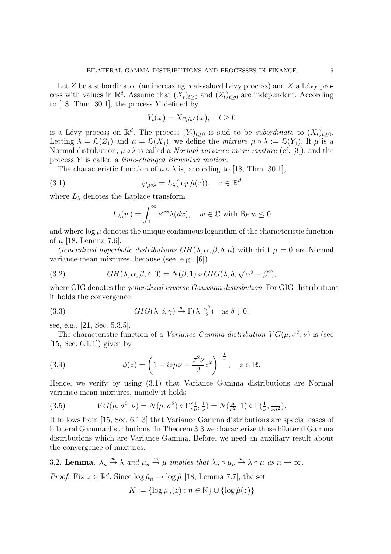Let  $Z$  be a subordinator (an increasing real-valued Lévy process) and  $X$  a Lévy process with values in  $\mathbb{R}^d$ . Assume that  $(X_t)_{t\geq 0}$  and  $(Z_t)_{t\geq 0}$  are independent. According to  $[18, Thm. 30.1]$ , the process Y defined by

$$
Y_t(\omega) = X_{Z_t(\omega)}(\omega), \quad t \ge 0
$$

is a Lévy process on  $\mathbb{R}^d$ . The process  $(Y_t)_{t\geq 0}$  is said to be *subordinate* to  $(X_t)_{t\geq 0}$ . Letting  $\lambda = \mathcal{L}(Z_1)$  and  $\mu = \mathcal{L}(X_1)$ , we define the *mixture*  $\mu \circ \lambda := \mathcal{L}(Y_1)$ . If  $\mu$  is a Normal distribution,  $\mu \circ \lambda$  is called a *Normal variance-mean mixture* (cf. [3]), and the process Y is called a time-changed Brownian motion.

The characteristic function of  $\mu \circ \lambda$  is, according to [18, Thm. 30.1],

(3.1) 
$$
\varphi_{\mu \circ \lambda} = L_{\lambda}(\log \hat{\mu}(z)), \quad z \in \mathbb{R}^d
$$

where  $L_{\lambda}$  denotes the Laplace transform

$$
L_{\lambda}(w) = \int_0^{\infty} e^{wx} \lambda(dx), \quad w \in \mathbb{C} \text{ with } \text{Re } w \le 0
$$

and where  $\log \hat{\mu}$  denotes the unique continuous logarithm of the characteristic function of  $\mu$  [18, Lemma 7.6].

Generalized hyperbolic distributions  $GH(\lambda, \alpha, \beta, \delta, \mu)$  with drift  $\mu = 0$  are Normal variance-mean mixtures, because (see, e.g., [6])

(3.2) 
$$
GH(\lambda, \alpha, \beta, \delta, 0) = N(\beta, 1) \circ GIG(\lambda, \delta, \sqrt{\alpha^2 - \beta^2}),
$$

where GIG denotes the *generalized inverse Gaussian distribution*. For GIG-distributions it holds the convergence

(3.3) 
$$
GIG(\lambda, \delta, \gamma) \stackrel{w}{\to} \Gamma(\lambda, \frac{\gamma^2}{2}) \text{ as } \delta \downarrow 0,
$$

see, e.g., [21, Sec. 5.3.5].

The characteristic function of a Variance Gamma distribution  $VG(\mu, \sigma^2, \nu)$  is (see [15, Sec. 6.1.1]) given by

(3.4) 
$$
\phi(z) = \left(1 - iz\mu v + \frac{\sigma^2 v}{2} z^2\right)^{-\frac{1}{\nu}}, \quad z \in \mathbb{R}.
$$

Hence, we verify by using (3.1) that Variance Gamma distributions are Normal variance-mean mixtures, namely it holds

(3.5) 
$$
VG(\mu, \sigma^2, \nu) = N(\mu, \sigma^2) \circ \Gamma(\frac{1}{\nu}, \frac{1}{\nu}) = N(\frac{\mu}{\sigma^2}, 1) \circ \Gamma(\frac{1}{\nu}, \frac{1}{\nu \sigma^2}).
$$

It follows from [15, Sec. 6.1.3] that Variance Gamma distributions are special cases of bilateral Gamma distributions. In Theorem 3.3 we characterize those bilateral Gamma distributions which are Variance Gamma. Before, we need an auxiliary result about the convergence of mixtures.

3.2. Lemma.  $\lambda_n \stackrel{w}{\rightarrow} \lambda$  and  $\mu_n \stackrel{w}{\rightarrow} \mu$  implies that  $\lambda_n \circ \mu_n \stackrel{w}{\rightarrow} \lambda \circ \mu$  as  $n \rightarrow \infty$ .

*Proof.* Fix  $z \in \mathbb{R}^d$ . Since  $\log \hat{\mu}_n \to \log \hat{\mu}$  [18, Lemma 7.7], the set

$$
K := \{ \log \hat{\mu}_n(z) : n \in \mathbb{N} \} \cup \{ \log \hat{\mu}(z) \}
$$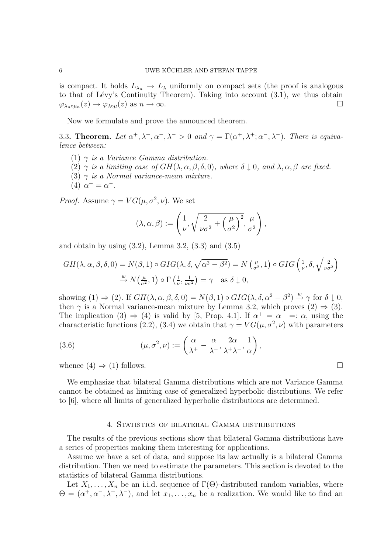is compact. It holds  $L_{\lambda_n} \to L_{\lambda}$  uniformly on compact sets (the proof is analogous to that of Lévy's Continuity Theorem). Taking into account  $(3.1)$ , we thus obtain  $\varphi_{\lambda_n \circ \mu_n}(z) \to \varphi_{\lambda \circ \mu}(z)$  as  $n \to \infty$ .

Now we formulate and prove the announced theorem.

3.3. Theorem. Let  $\alpha^+, \lambda^+, \alpha^-, \lambda^- > 0$  and  $\gamma = \Gamma(\alpha^+, \lambda^+; \alpha^-, \lambda^-)$ . There is equivalence between:

- (1)  $\gamma$  is a Variance Gamma distribution.
- (2)  $\gamma$  is a limiting case of  $GH(\lambda, \alpha, \beta, \delta, 0)$ , where  $\delta \downarrow 0$ , and  $\lambda, \alpha, \beta$  are fixed.
- (3)  $\gamma$  is a Normal variance-mean mixture.
- (4)  $\alpha^+ = \alpha^-$ .

*Proof.* Assume  $\gamma = VG(\mu, \sigma^2, \nu)$ . We set

$$
(\lambda, \alpha, \beta) := \left(\frac{1}{\nu}, \sqrt{\frac{2}{\nu \sigma^2} + \left(\frac{\mu}{\sigma^2}\right)^2}, \frac{\mu}{\sigma^2}\right),
$$

and obtain by using  $(3.2)$ , Lemma 3.2,  $(3.3)$  and  $(3.5)$ 

$$
GH(\lambda, \alpha, \beta, \delta, 0) = N(\beta, 1) \circ GIG(\lambda, \delta, \sqrt{\alpha^2 - \beta^2}) = N\left(\frac{\mu}{\sigma^2}, 1\right) \circ GIG\left(\frac{1}{\nu}, \delta, \sqrt{\frac{2}{\nu \sigma^2}}\right)
$$
  

$$
\stackrel{w}{\rightarrow} N\left(\frac{\mu}{\sigma^2}, 1\right) \circ \Gamma\left(\frac{1}{\nu}, \frac{1}{\nu \sigma^2}\right) = \gamma \quad \text{as } \delta \downarrow 0,
$$

showing (1)  $\Rightarrow$  (2). If  $GH(\lambda, \alpha, \beta, \delta, 0) = N(\beta, 1) \circ GIG(\lambda, \delta, \alpha^2 - \beta^2) \stackrel{w}{\rightarrow} \gamma$  for  $\delta \downarrow 0$ , then  $\gamma$  is a Normal variance-mean mixture by Lemma 3.2, which proves  $(2) \Rightarrow (3)$ . The implication (3)  $\Rightarrow$  (4) is valid by [5, Prop. 4.1]. If  $\alpha^+ = \alpha^- =: \alpha$ , using the characteristic functions (2.2), (3.4) we obtain that  $\gamma = VG(\mu, \sigma^2, \nu)$  with parameters

(3.6) 
$$
(\mu, \sigma^2, \nu) := \left(\frac{\alpha}{\lambda^+} - \frac{\alpha}{\lambda^-}, \frac{2\alpha}{\lambda^+\lambda^-}, \frac{1}{\alpha}\right),
$$

whence  $(4) \Rightarrow (1)$  follows.

We emphasize that bilateral Gamma distributions which are not Variance Gamma cannot be obtained as limiting case of generalized hyperbolic distributions. We refer to [6], where all limits of generalized hyperbolic distributions are determined.

## 4. Statistics of bilateral Gamma distributions

The results of the previous sections show that bilateral Gamma distributions have a series of properties making them interesting for applications.

Assume we have a set of data, and suppose its law actually is a bilateral Gamma distribution. Then we need to estimate the parameters. This section is devoted to the statistics of bilateral Gamma distributions.

Let  $X_1, \ldots, X_n$  be an i.i.d. sequence of  $\Gamma(\Theta)$ -distributed random variables, where  $\Theta = (\alpha^+, \alpha^-, \lambda^+, \lambda^-)$ , and let  $x_1, \ldots, x_n$  be a realization. We would like to find an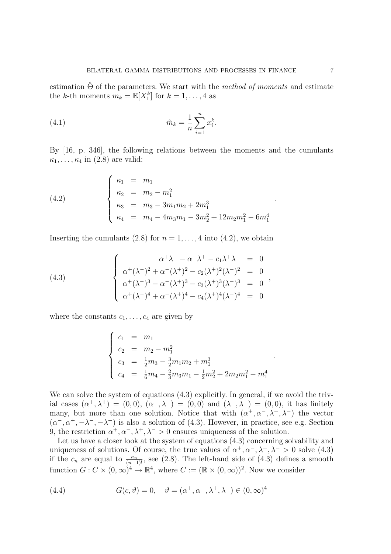estimation  $\Theta$  of the parameters. We start with the *method of moments* and estimate the k-th moments  $m_k = \mathbb{E}[X_1^k]$  for  $k = 1, ..., 4$  as

(4.1) 
$$
\hat{m}_k = \frac{1}{n} \sum_{i=1}^n x_i^k.
$$

By [16, p. 346], the following relations between the moments and the cumulants  $\kappa_1, \ldots, \kappa_4$  in (2.8) are valid:

(4.2)  

$$
\begin{cases}\n\kappa_1 = m_1 \\
\kappa_2 = m_2 - m_1^2 \\
\kappa_3 = m_3 - 3m_1m_2 + 2m_1^3 \\
\kappa_4 = m_4 - 4m_3m_1 - 3m_2^2 + 12m_2m_1^2 - 6m_1^4\n\end{cases}
$$

Inserting the cumulants (2.8) for  $n = 1, \ldots, 4$  into (4.2), we obtain

(4.3)  

$$
\begin{cases}\n\alpha^{+}\lambda^{-} - \alpha^{-}\lambda^{+} - c_{1}\lambda^{+}\lambda^{-} = 0 \\
\alpha^{+}(\lambda^{-})^{2} + \alpha^{-}(\lambda^{+})^{2} - c_{2}(\lambda^{+})^{2}(\lambda^{-})^{2} = 0 \\
\alpha^{+}(\lambda^{-})^{3} - \alpha^{-}(\lambda^{+})^{3} - c_{3}(\lambda^{+})^{3}(\lambda^{-})^{3} = 0 \\
\alpha^{+}(\lambda^{-})^{4} + \alpha^{-}(\lambda^{+})^{4} - c_{4}(\lambda^{+})^{4}(\lambda^{-})^{4} = 0\n\end{cases}
$$

where the constants  $c_1, \ldots, c_4$  are given by

$$
\begin{cases}\nc_1 = m_1 \\
c_2 = m_2 - m_1^2 \\
c_3 = \frac{1}{2}m_3 - \frac{3}{2}m_1m_2 + m_1^3 \\
c_4 = \frac{1}{6}m_4 - \frac{2}{3}m_3m_1 - \frac{1}{2}m_2^2 + 2m_2m_1^2 - m_1^4\n\end{cases}
$$

.

We can solve the system of equations  $(4.3)$  explicitly. In general, if we avoid the trivial cases  $(\alpha^+, \lambda^+) = (0,0), (\alpha^-, \lambda^-) = (0,0)$  and  $(\lambda^+, \lambda^-) = (0,0)$ , it has finitely many, but more than one solution. Notice that with  $(\alpha^+, \alpha^-, \lambda^+, \lambda^-)$  the vector  $(\alpha^-, \alpha^+, -\lambda^-, -\lambda^+)$  is also a solution of (4.3). However, in practice, see e.g. Section 9, the restriction  $\alpha^+, \alpha^-, \lambda^+, \lambda^- > 0$  ensures uniqueness of the solution.

Let us have a closer look at the system of equations  $(4.3)$  concerning solvability and uniqueness of solutions. Of course, the true values of  $\alpha^+, \alpha^-, \lambda^+, \lambda^- > 0$  solve (4.3) if the  $c_n$  are equal to  $\frac{\kappa_n}{(n-1)!}$ , see (2.8). The left-hand side of (4.3) defines a smooth function  $G: C \times (0, \infty)^4 \to \mathbb{R}^4$ , where  $C := (\mathbb{R} \times (0, \infty))^2$ . Now we consider

(4.4) 
$$
G(c, \vartheta) = 0, \quad \vartheta = (\alpha^+, \alpha^-, \lambda^+, \lambda^-) \in (0, \infty)^4
$$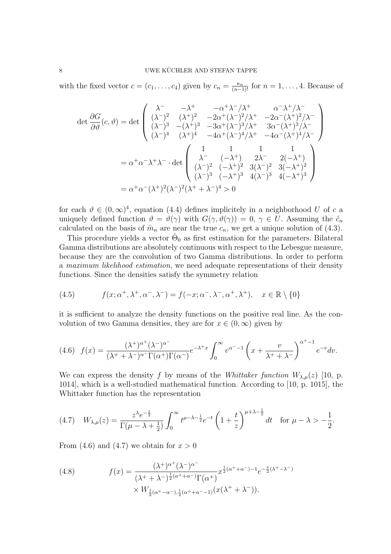with the fixed vector  $c = (c_1, \ldots, c_4)$  given by  $c_n = \frac{\kappa_n}{(n-1)!}$  for  $n = 1, \ldots, 4$ . Because of

$$
\det \frac{\partial G}{\partial \vartheta}(c,\vartheta) = \det \begin{pmatrix} \lambda^- & -\lambda^+ & -\alpha^+ \lambda^- / \lambda^+ & \alpha^- \lambda^+ / \lambda^- \\ (\lambda^-)^2 & (\lambda^+)^2 & -2\alpha^+ (\lambda^-)^2 / \lambda^+ & -2\alpha^- (\lambda^+)^2 / \lambda^- \\ (\lambda^-)^3 & -(\lambda^+)^3 & -3\alpha^+ (\lambda^-)^3 / \lambda^+ & 3\alpha^- (\lambda^+)^3 / \lambda^- \\ (\lambda^-)^4 & (\lambda^+)^4 & -4\alpha^+ (\lambda^-)^4 / \lambda^+ & -4\alpha^- (\lambda^+)^4 / \lambda^- \end{pmatrix}
$$

$$
= \alpha^+ \alpha^- \lambda^+ \lambda^- \cdot \det \begin{pmatrix} 1 & 1 & 1 & 1 \\ \lambda^- & (-\lambda^+) & 2\lambda^- & 2(-\lambda^+) \\ (\lambda^-)^2 & (-\lambda^+)^2 & 3(\lambda^-)^2 & 3(-\lambda^+)^2 \\ (\lambda^-)^3 & (-\lambda^+)^3 & 4(\lambda^-)^3 & 4(-\lambda^+)^3 \end{pmatrix}
$$

$$
= \alpha^+ \alpha^- (\lambda^+)^2 (\lambda^-)^2 (\lambda^+ + \lambda^-)^4 > 0
$$

for each  $\vartheta \in (0,\infty)^4$ , equation (4.4) defines implicitely in a neighborhood U of c a uniquely defined function  $\vartheta = \vartheta(\gamma)$  with  $G(\gamma, \vartheta(\gamma)) = 0, \gamma \in U$ . Assuming the  $\hat{c}_n$ calculated on the basis of  $\hat{m}_n$  are near the true  $c_n$ , we get a unique solution of (4.3).

This procedure yields a vector  $\hat{\Theta}_0$  as first estimation for the parameters. Bilateral Gamma distributions are absolutely continuous with respect to the Lebesgue measure, because they are the convolution of two Gamma distributions. In order to perform a maximum likelihood estimation, we need adequate representations of their density functions. Since the densities satisfy the symmetry relation

(4.5) 
$$
f(x; \alpha^+, \lambda^+, \alpha^-, \lambda^-) = f(-x; \alpha^-, \lambda^-, \alpha^+, \lambda^+), \quad x \in \mathbb{R} \setminus \{0\}
$$

it is sufficient to analyze the density functions on the positive real line. As the convolution of two Gamma densities, they are for  $x \in (0, \infty)$  given by

$$
(4.6)\quad f(x) = \frac{(\lambda^+)^{\alpha^+}(\lambda^-)^{\alpha^-}}{(\lambda^+ + \lambda^-)^{\alpha^-}\Gamma(\alpha^+)\Gamma(\alpha^-)}e^{-\lambda^+x}\int_0^\infty v^{\alpha^--1}\left(x + \frac{v}{\lambda^+ + \lambda^-}\right)^{\alpha^+ - 1}e^{-v}dv.
$$

We can express the density f by means of the Whittaker function  $W_{\lambda,\mu}(z)$  [10, p. 1014], which is a well-studied mathematical function. According to [10, p. 1015], the Whittaker function has the representation

$$
(4.7) \quad W_{\lambda,\mu}(z) = \frac{z^{\lambda}e^{-\frac{z}{2}}}{\Gamma(\mu-\lambda+\frac{1}{2})}\int_0^{\infty}t^{\mu-\lambda-\frac{1}{2}}e^{-t}\left(1+\frac{t}{z}\right)^{\mu+\lambda-\frac{1}{2}}dt \quad \text{for } \mu-\lambda > -\frac{1}{2}.
$$

From (4.6) and (4.7) we obtain for  $x > 0$ 

(4.8) 
$$
f(x) = \frac{(\lambda^+)^{\alpha^+} (\lambda^-)^{\alpha^-}}{(\lambda^+ + \lambda^-)^{\frac{1}{2}(\alpha^+ + \alpha^-)} \Gamma(\alpha^+)} x^{\frac{1}{2}(\alpha^+ + \alpha^-) - 1} e^{-\frac{x}{2}(\lambda^+ - \lambda^-)} \times W_{\frac{1}{2}(\alpha^+ - \alpha^-), \frac{1}{2}(\alpha^+ + \alpha^- - 1)} (x(\lambda^+ + \lambda^-)).
$$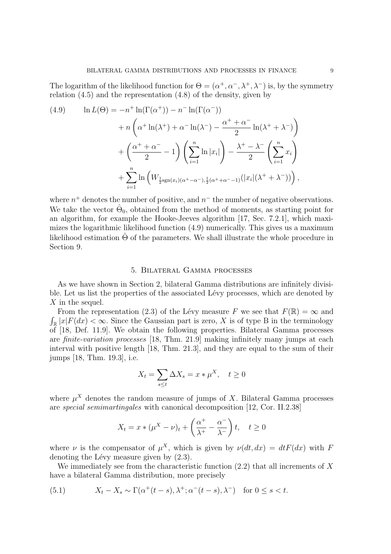The logarithm of the likelihood function for  $\Theta = (\alpha^+, \alpha^-, \lambda^+, \lambda^-)$  is, by the symmetry relation (4.5) and the representation (4.8) of the density, given by

(4.9) 
$$
\ln L(\Theta) = -n^+ \ln(\Gamma(\alpha^+)) - n^- \ln(\Gamma(\alpha^-))
$$

$$
+ n \left( \alpha^+ \ln(\lambda^+) + \alpha^- \ln(\lambda^-) - \frac{\alpha^+ + \alpha^-}{2} \ln(\lambda^+ + \lambda^-) \right)
$$

$$
+ \left( \frac{\alpha^+ + \alpha^-}{2} - 1 \right) \left( \sum_{i=1}^n \ln |x_i| \right) - \frac{\lambda^+ - \lambda^-}{2} \left( \sum_{i=1}^n x_i \right)
$$

$$
+ \sum_{i=1}^n \ln \left( W_{\frac{1}{2} \text{sgn}(x_i)(\alpha^+ - \alpha^-), \frac{1}{2} (\alpha^+ + \alpha^- - 1)}(|x_i|(\lambda^+ + \lambda^-)) \right),
$$

where  $n^+$  denotes the number of positive, and  $n^-$  the number of negative observations. We take the vector  $\hat{\Theta}_0$ , obtained from the method of moments, as starting point for an algorithm, for example the Hooke-Jeeves algorithm [17, Sec. 7.2.1], which maximizes the logarithmic likelihood function (4.9) numerically. This gives us a maximum likelihood estimation  $\hat{\Theta}$  of the parameters. We shall illustrate the whole procedure in Section 9.

## 5. Bilateral Gamma processes

As we have shown in Section 2, bilateral Gamma distributions are infinitely divisible. Let us list the properties of the associated Lévy processes, which are denoted by X in the sequel.

From the representation (2.3) of the Lévy measure F we see that  $F(\mathbb{R}) = \infty$  and R  $\mathbb{R} |x| F(dx) < \infty$ . Since the Gaussian part is zero, X is of type B in the terminology of [18, Def. 11.9]. We obtain the following properties. Bilateral Gamma processes are finite-variation processes [18, Thm. 21.9] making infinitely many jumps at each interval with positive length [18, Thm. 21.3], and they are equal to the sum of their jumps [18, Thm. 19.3], i.e.

$$
X_t = \sum_{s \le t} \Delta X_s = x * \mu^X, \quad t \ge 0
$$

where  $\mu^X$  denotes the random measure of jumps of X. Bilateral Gamma processes are special semimartingales with canonical decomposition [12, Cor. II.2.38]

$$
X_t = x * (\mu^X - \nu)_t + \left(\frac{\alpha^+}{\lambda^+} - \frac{\alpha^-}{\lambda^-}\right)t, \quad t \ge 0
$$

where  $\nu$  is the compensator of  $\mu^X$ , which is given by  $\nu(dt, dx) = dt F(dx)$  with F denoting the Lévy measure given by  $(2.3)$ .

We immediately see from the characteristic function  $(2.2)$  that all increments of X have a bilateral Gamma distribution, more precisely

(5.1) 
$$
X_t - X_s \sim \Gamma(\alpha^+(t-s), \lambda^+; \alpha^-(t-s), \lambda^-) \text{ for } 0 \le s < t.
$$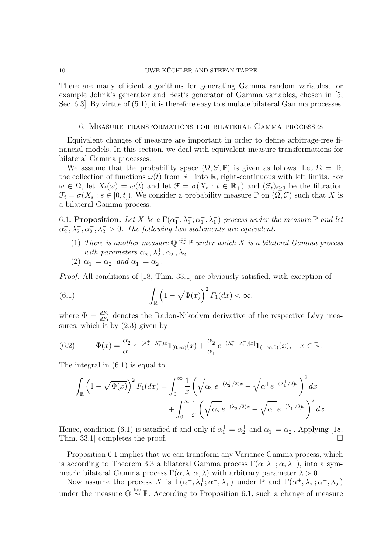### 10 UWE KÜCHLER AND STEFAN TAPPE

There are many efficient algorithms for generating Gamma random variables, for example Johnk's generator and Best's generator of Gamma variables, chosen in [5, Sec. 6.3]. By virtue of (5.1), it is therefore easy to simulate bilateral Gamma processes.

#### 6. Measure transformations for bilateral Gamma processes

Equivalent changes of measure are important in order to define arbitrage-free financial models. In this section, we deal with equivalent measure transformations for bilateral Gamma processes.

We assume that the probability space  $(\Omega, \mathcal{F}, \mathbb{P})$  is given as follows. Let  $\Omega = \mathbb{D}$ , the collection of functions  $\omega(t)$  from  $\mathbb{R}_+$  into  $\mathbb{R}$ , right-continuous with left limits. For  $\omega \in \Omega$ , let  $X_t(\omega) = \omega(t)$  and let  $\mathfrak{F} = \sigma(X_t : t \in \mathbb{R}_+)$  and  $(\mathfrak{F}_t)_{t \geq 0}$  be the filtration  $\mathcal{F}_t = \sigma(X_s : s \in [0, t])$ . We consider a probability measure P on  $(\Omega, \mathcal{F})$  such that X is a bilateral Gamma process.

6.1. Proposition. Let X be a  $\Gamma(\alpha_1^+, \lambda_1^+; \alpha_1^-, \lambda_1^-)$ -process under the measure  $\mathbb P$  and let  $\alpha_2^+, \lambda_2^+, \alpha_2^-, \lambda_2^->0$ . The following two statements are equivalent.

- (1) There is another measure  $\mathbb{Q} \stackrel{\text{loc}}{\sim} \mathbb{P}$  under which X is a bilateral Gamma process with parameters  $\alpha_2^+, \lambda_2^+, \alpha_2^-, \lambda_2^-.$
- (2)  $\alpha_1^+ = \alpha_2^+$  and  $\alpha_1^- = \alpha_2^-$ .

Proof. All conditions of [18, Thm. 33.1] are obviously satisfied, with exception of

(6.1) 
$$
\int_{\mathbb{R}} \left(1 - \sqrt{\Phi(x)}\right)^2 F_1(dx) < \infty,
$$

where  $\Phi = \frac{dF_2}{dF_1}$  denotes the Radon-Nikodym derivative of the respective Lévy measures, which is by (2.3) given by

(6.2) 
$$
\Phi(x) = \frac{\alpha_2^+}{\alpha_1^+} e^{-(\lambda_2^+ - \lambda_1^+)x} \mathbf{1}_{(0,\infty)}(x) + \frac{\alpha_2^-}{\alpha_1^-} e^{-(\lambda_2^- - \lambda_1^-)|x|} \mathbf{1}_{(-\infty,0)}(x), \quad x \in \mathbb{R}.
$$

The integral in (6.1) is equal to

$$
\int_{\mathbb{R}} \left(1 - \sqrt{\Phi(x)}\right)^2 F_1(dx) = \int_0^\infty \frac{1}{x} \left(\sqrt{\alpha_2^+} e^{-(\lambda_2^+/2)x} - \sqrt{\alpha_1^+} e^{-(\lambda_1^+/2)x}\right)^2 dx \n+ \int_0^\infty \frac{1}{x} \left(\sqrt{\alpha_2^-} e^{-(\lambda_2^+/2)x} - \sqrt{\alpha_1^-} e^{-(\lambda_1^+/2)x}\right)^2 dx.
$$

Hence, condition (6.1) is satisfied if and only if  $\alpha_1^+ = \alpha_2^+$  and  $\alpha_1^- = \alpha_2^-$ . Applying [18, Thm. 33.1] completes the proof.  $\Box$ 

Proposition 6.1 implies that we can transform any Variance Gamma process, which is according to Theorem 3.3 a bilateral Gamma process  $\Gamma(\alpha, \lambda^+; \alpha, \lambda^-)$ , into a symmetric bilateral Gamma process  $\Gamma(\alpha, \lambda; \alpha, \lambda)$  with arbitrary parameter  $\lambda > 0$ .

Now assume the process X is  $\Gamma(\alpha^+, \lambda_1^+; \alpha^-, \lambda_1^-)$  under  $\mathbb P$  and  $\Gamma(\alpha^+, \lambda_2^+; \alpha^-, \lambda_2^-)$ under the measure  $\mathbb{Q} \stackrel{\text{loc}}{\sim} \mathbb{P}$ . According to Proposition 6.1, such a change of measure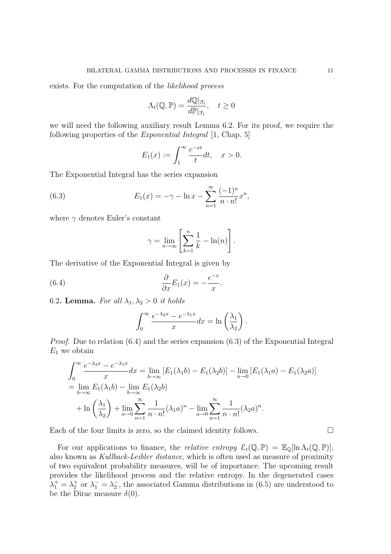exists. For the computation of the likelihood process

$$
\Lambda_t(\mathbb{Q}, \mathbb{P}) = \frac{d\mathbb{Q}|_{\mathcal{F}_t}}{d\mathbb{P}|_{\mathcal{F}_t}}, \quad t \ge 0
$$

we will need the following auxiliary result Lemma 6.2. For its proof, we require the following properties of the *Exponential Integral* [1, Chap. 5]

$$
E_1(x) := \int_1^{\infty} \frac{e^{-xt}}{t} dt, \quad x > 0.
$$

The Exponential Integral has the series expansion

(6.3) 
$$
E_1(x) = -\gamma - \ln x - \sum_{n=1}^{\infty} \frac{(-1)^n}{n \cdot n!} x^n,
$$

where  $\gamma$  denotes Euler's constant

$$
\gamma = \lim_{n \to \infty} \left[ \sum_{k=1}^{n} \frac{1}{k} - \ln(n) \right].
$$

The derivative of the Exponential Integral is given by

(6.4) 
$$
\frac{\partial}{\partial x}E_1(x) = -\frac{e^{-x}}{x}.
$$

6.2. Lemma. For all  $\lambda_1, \lambda_2 > 0$  it holds

$$
\int_0^\infty \frac{e^{-\lambda_2 x} - e^{-\lambda_1 x}}{x} dx = \ln\left(\frac{\lambda_1}{\lambda_2}\right).
$$

Proof. Due to relation (6.4) and the series expansion (6.3) of the Exponential Integral  $E_1$  we obtain

$$
\int_0^\infty \frac{e^{-\lambda_2 x} - e^{-\lambda_1 x}}{x} dx = \lim_{b \to \infty} [E_1(\lambda_1 b) - E_1(\lambda_2 b)] - \lim_{a \to 0} [E_1(\lambda_1 a) - E_1(\lambda_2 a)]
$$
  
= 
$$
\lim_{b \to \infty} E_1(\lambda_1 b) - \lim_{b \to \infty} E_1(\lambda_2 b)
$$
  
+ 
$$
\ln \left(\frac{\lambda_1}{\lambda_2}\right) + \lim_{a \to 0} \sum_{n=1}^\infty \frac{1}{n \cdot n!} (\lambda_1 a)^n - \lim_{a \to 0} \sum_{n=1}^\infty \frac{1}{n \cdot n!} (\lambda_2 a)^n.
$$

Each of the four limits is zero, so the claimed identity follows.  $\Box$ 

For our applications to finance, the *relative entropy*  $\mathcal{E}_t(\mathbb{Q}, \mathbb{P}) = \mathbb{E}_{\mathbb{Q}}[\ln \Lambda_t(\mathbb{Q}, \mathbb{P})],$ also known as Kullback-Leibler distance, which is often used as measure of proximity of two equivalent probability measures, will be of importance. The upcoming result provides the likelihood process and the relative entropy. In the degenerated cases  $\lambda_1^+ = \lambda_2^+$  or  $\lambda_1^- = \lambda_2^-$ , the associated Gamma distributions in (6.5) are understood to be the Dirac measure  $\delta(0)$ .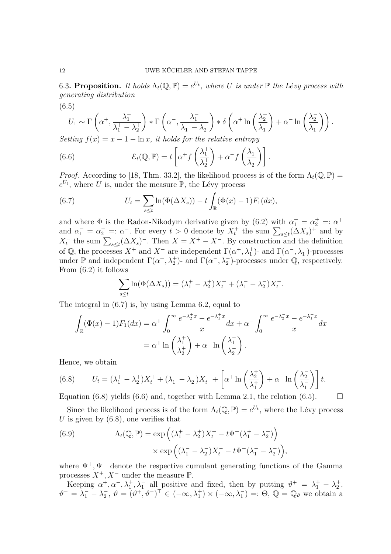6.3. Proposition. It holds  $\Lambda_t(\mathbb{Q}, \mathbb{P}) = e^{U_t}$ , where U is under  $\mathbb P$  the Lévy process with generating distribution (6.5)

$$
U_1 \sim \Gamma\left(\alpha^+, \frac{\lambda_1^+}{\lambda_1^+ - \lambda_2^+}\right) * \Gamma\left(\alpha^-, \frac{\lambda_1^-}{\lambda_1^- - \lambda_2^-}\right) * \delta\left(\alpha^+ \ln\left(\frac{\lambda_2^+}{\lambda_1^+}\right) + \alpha^- \ln\left(\frac{\lambda_2^-}{\lambda_1^-}\right)\right).
$$

Setting  $f(x) = x - 1 - \ln x$ , it holds for the relative entropy  $\overline{p}$   $\left(\frac{1}{2} + \frac{1}{2}\right)$   $\left(\frac{1}{2} + \frac{1}{2}\right)$ 

(6.6) 
$$
\mathcal{E}_t(\mathbb{Q}, \mathbb{P}) = t \left[ \alpha^+ f\left(\frac{\lambda_1^+}{\lambda_2^+}\right) + \alpha^- f\left(\frac{\lambda_1^-}{\lambda_2^-}\right) \right].
$$

*Proof.* According to [18, Thm. 33.2], the likelihood process is of the form  $\Lambda_t(\mathbb{Q}, \mathbb{P}) =$  $e^{U_t}$ , where U is, under the measure  $\mathbb{P}$ , the Lévy process  $\overline{\phantom{a}}$ 

(6.7) 
$$
U_t = \sum_{s \le t} \ln(\Phi(\Delta X_s)) - t \int_{\mathbb{R}} (\Phi(x) - 1) F_1(dx),
$$

and where  $\Phi$  is the Radon-Nikodym derivative given by (6.2) with  $\alpha_1^+ = \alpha_2^+ =: \alpha^+$ and where  $\Psi$  is the Kadon-Nikodym derivative given by (0.2) with  $\alpha_1 = \alpha_2 =: \alpha^+$ <br>and  $\alpha_1^- = \alpha_2^- =: \alpha^-$ . For every  $t > 0$  denote by  $X_t^+$  the sum  $\sum_{s \le t} (\Delta X_s)^+$  and by and  $\alpha_1 - \alpha_2 = \alpha$ . For every  $t > 0$  denote by  $\Lambda_t$  the sum  $\sum_{s \le t} (\Delta X_s)$  and by  $X_t^-$  the sum  $\sum_{s \le t} (\Delta X_s)^-$ . Then  $X = X^+ - X^-$ . By construction and the definition of  $\mathbb Q$ , the processes  $X^+$  and  $X^-$  are independent  $\Gamma(\alpha^+, \lambda_1^+)$ - and  $\Gamma(\alpha^-, \lambda_1^-)$ -processes under  $\mathbb P$  and independent  $\Gamma(\alpha^+, \lambda_2^+)$ - and  $\Gamma(\alpha^-, \lambda_2^-)$ -processes under  $\mathbb Q$ , respectively. From (6.2) it follows

$$
\sum_{s \le t} \ln(\Phi(\Delta X_s)) = (\lambda_1^+ - \lambda_2^+) X_t^+ + (\lambda_1^- - \lambda_2^-) X_t^-.
$$

The integral in (6.7) is, by using Lemma 6.2, equal to

$$
\int_{\mathbb{R}} (\Phi(x) - 1) F_1(dx) = \alpha^+ \int_0^\infty \frac{e^{-\lambda_2^+ x} - e^{-\lambda_1^+ x}}{x} dx + \alpha^- \int_0^\infty \frac{e^{-\lambda_2^- x} - e^{-\lambda_1^- x}}{x} dx
$$

$$
= \alpha^+ \ln \left( \frac{\lambda_1^+}{\lambda_2^+} \right) + \alpha^- \ln \left( \frac{\lambda_1^-}{\lambda_2^-} \right).
$$

Hence, we obtain

(6.8) 
$$
U_t = (\lambda_1^+ - \lambda_2^+)X_t^+ + (\lambda_1^- - \lambda_2^-)X_t^- + \left[\alpha^+ \ln\left(\frac{\lambda_2^+}{\lambda_1^+}\right) + \alpha^- \ln\left(\frac{\lambda_2^-}{\lambda_1^-}\right)\right]t.
$$

Equation (6.8) yields (6.6) and, together with Lemma 2.1, the relation (6.5).  $\Box$ 

Since the likelihood process is of the form  $\Lambda_t(\mathbb{Q}, \mathbb{P}) = e^{U_t}$ , where the Lévy process U is given by  $(6.8)$ , one verifies that ´

(6.9) 
$$
\Lambda_t(\mathbb{Q}, \mathbb{P}) = \exp\left((\lambda_1^+ - \lambda_2^+)X_t^+ - t\Psi^+(\lambda_1^+ - \lambda_2^+)\right) \times \exp\left((\lambda_1^- - \lambda_2^-)X_t^- - t\Psi^-(\lambda_1^- - \lambda_2^-)\right),
$$

where  $\Psi^+, \Psi^-$  denote the respective cumulant generating functions of the Gamma processes  $X^+, X^-$  under the measure  $\mathbb{P}$ .

Keeping  $\alpha^+, \alpha^-, \lambda_1^+, \lambda_1^-$  all positive and fixed, then by putting  $\vartheta^+ = \lambda_1^+ - \lambda_2^+$ ,  $\vartheta^- = \lambda_1^- - \lambda_2^-$ ,  $\vartheta = (\vartheta^+, \vartheta^-)^{\top} \in (-\infty, \lambda_1^+) \times (-\infty, \lambda_1^-) =: \Theta$ ,  $\mathbb{Q} = \mathbb{Q}_\vartheta$  we obtain a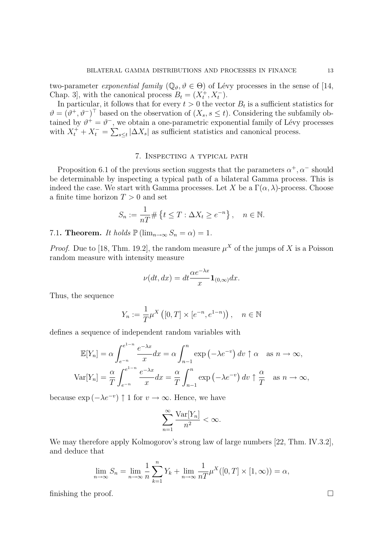two-parameter exponential family  $(\mathbb{Q}_{\theta}, \theta \in \Theta)$  of Lévy processes in the sense of [14 Chap. 3], with the canonical process  $B_t = (X_t^+, X_t^-)$ .

In particular, it follows that for every  $t > 0$  the vector  $B_t$  is a sufficient statistics for  $\vartheta = (\vartheta^+, \vartheta^-)^{\top}$  based on the observation of  $(X_s, s \leq t)$ . Considering the subfamily obtained by  $\vartheta^+ = \vartheta^-$ , we obtain a one-parametric exponential family of Lévy processes with  $X_t^+ + X_t^- =$  $\overline{C}$  $\sum_{s \leq t} |\Delta X_s|$  as sufficient statistics and canonical process.

# 7. Inspecting a typical path

Proposition 6.1 of the previous section suggests that the parameters  $\alpha^+$ ,  $\alpha^-$  should be determinable by inspecting a typical path of a bilateral Gamma process. This is indeed the case. We start with Gamma processes. Let X be a  $\Gamma(\alpha,\lambda)$ -process. Choose a finite time horizon  $T > 0$  and set

$$
S_n := \frac{1}{nT} \# \left\{ t \le T : \Delta X_t \ge e^{-n} \right\}, \quad n \in \mathbb{N}.
$$

7.1. Theorem. It holds  $\mathbb{P}(\lim_{n\to\infty}S_n=\alpha)=1$ .

*Proof.* Due to [18, Thm. 19.2], the random measure  $\mu^X$  of the jumps of X is a Poisson random measure with intensity measure

$$
\nu(dt, dx) = dt \frac{\alpha e^{-\lambda x}}{x} \mathbf{1}_{(0,\infty)} dx.
$$

Thus, the sequence

$$
Y_n := \frac{1}{T} \mu^X \left( [0, T] \times [e^{-n}, e^{1-n}) \right), \quad n \in \mathbb{N}
$$

defines a sequence of independent random variables with

$$
\mathbb{E}[Y_n] = \alpha \int_{e^{-n}}^{e^{1-n}} \frac{e^{-\lambda x}}{x} dx = \alpha \int_{n-1}^n \exp\left(-\lambda e^{-v}\right) dv \uparrow \alpha \quad \text{as } n \to \infty,
$$
  

$$
\text{Var}[Y_n] = \frac{\alpha}{T} \int_{e^{-n}}^{e^{1-n}} \frac{e^{-\lambda x}}{x} dx = \frac{\alpha}{T} \int_{n-1}^n \exp\left(-\lambda e^{-v}\right) dv \uparrow \frac{\alpha}{T} \quad \text{as } n \to \infty,
$$

because  $\exp(-\lambda e^{-v}) \uparrow 1$  for  $v \to \infty$ . Hence, we have

$$
\sum_{n=1}^{\infty} \frac{\text{Var}[Y_n]}{n^2} < \infty.
$$

We may therefore apply Kolmogorov's strong law of large numbers [22, Thm. IV.3.2], and deduce that

$$
\lim_{n \to \infty} S_n = \lim_{n \to \infty} \frac{1}{n} \sum_{k=1}^n Y_k + \lim_{n \to \infty} \frac{1}{nT} \mu^X([0, T] \times [1, \infty)) = \alpha,
$$

finishing the proof.

$$
\cdot
$$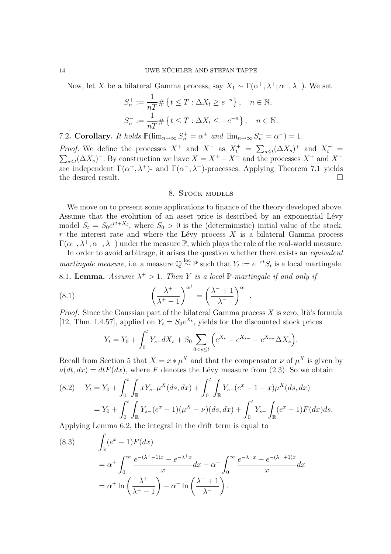Now, let X be a bilateral Gamma process, say  $X_1 \sim \Gamma(\alpha^+, \lambda^+; \alpha^-, \lambda^-)$ . We set

$$
S_n^+ := \frac{1}{nT} \# \{ t \le T : \Delta X_t \ge e^{-n} \}, \quad n \in \mathbb{N},
$$
  

$$
S_n^- := \frac{1}{nT} \# \{ t \le T : \Delta X_t \le -e^{-n} \}, \quad n \in \mathbb{N}.
$$

7.2. Corollary. It holds  $\mathbb{P}(\lim_{n\to\infty} S_n^+ = \alpha^+$  and  $\lim_{n\to\infty} S_n^- = \alpha^-) = 1$ .

*Proof.* We define the processes  $X^+$  and  $X^-$  as  $X_t^+$  =  $\overline{\phantom{a}}^n$ *Proof.* We define the processes  $X^+$  and  $X^-$  as  $X_t^+ = \sum_{s \le t} (\Delta X_s)^+$  and  $X_t^- =$  $_{s\leq t}$ ( $\Delta X_s$ )<sup>-</sup>. By construction we have  $X = X^+ - X^-$  and the processes  $X^+$  and  $X^$ are independent  $\Gamma(\alpha^+,\lambda^+)$ - and  $\Gamma(\alpha^-,\lambda^-)$ -processes. Applying Theorem 7.1 yields the desired result.  $\Box$ 

## 8. STOCK MODELS

We move on to present some applications to finance of the theory developed above. Assume that the evolution of an asset price is described by an exponential Lévy model  $S_t = S_0 e^{rt+X_t}$ , where  $S_0 > 0$  is the (deterministic) initial value of the stock,  $r$  the interest rate and where the Lévy process  $X$  is a bilateral Gamma process  $\Gamma(\alpha^+, \lambda^+; \alpha^-, \lambda^-)$  under the measure  $\mathbb{P}$ , which plays the role of the real-world measure.

In order to avoid arbitrage, it arises the question whether there exists an *equivalent* martingale measure, i.e. a measure  $\mathbb{Q} \stackrel{\text{loc}}{\sim} \mathbb{P}$  such that  $Y_t := e^{-rt} S_t$  is a local martingale.

8.1. Lemma. Assume  $\lambda^+ > 1$ . Then Y is a local P-martingale if and only if

(8.1) 
$$
\left(\frac{\lambda^+}{\lambda^+-1}\right)^{\alpha^+} = \left(\frac{\lambda^-+1}{\lambda^-}\right)^{\alpha^-}.
$$

*Proof.* Since the Gaussian part of the bilateral Gamma process  $X$  is zero, Itô's formula [12, Thm. I.4.57], applied on  $Y_t = S_0 e^{X_t}$ , yields for the discounted stock prices

$$
Y_t = Y_0 + \int_0^t Y_{s-}dX_s + S_0 \sum_{0 < s \le t} \left( e^{X_s} - e^{X_{s-}} - e^{X_{s-}} \Delta X_s \right).
$$

Recall from Section 5 that  $X = x * \mu^X$  and that the compensator  $\nu$  of  $\mu^X$  is given by  $\nu(dt, dx) = dt F(dx)$ , where F denotes the Lévy measure from (2.3). So we obtain

(8.2) 
$$
Y_t = Y_0 + \int_0^t \int_{\mathbb{R}} x Y_{s-} \mu^X(ds, dx) + \int_0^t \int_{\mathbb{R}} Y_{s-} (e^x - 1 - x) \mu^X(ds, dx)
$$

$$
= Y_0 + \int_0^t \int_{\mathbb{R}} Y_{s-} (e^x - 1) (\mu^X - \nu)(ds, dx) + \int_0^t Y_{s-} \int_{\mathbb{R}} (e^x - 1) F(dx) ds.
$$

Applying Lemma 6.2, the integral in the drift term is equal to  $\overline{a}$ 

(8.3) 
$$
\int_{\mathbb{R}} (e^x - 1) F(dx)
$$
  
=  $\alpha^+ \int_0^\infty \frac{e^{-(\lambda^+ - 1)x} - e^{-\lambda^+ x}}{x} dx - \alpha^- \int_0^\infty \frac{e^{-\lambda^- x} - e^{-(\lambda^- + 1)x}}{x} dx$   
=  $\alpha^+ \ln \left( \frac{\lambda^+}{\lambda^+ - 1} \right) - \alpha^- \ln \left( \frac{\lambda^- + 1}{\lambda^-} \right).$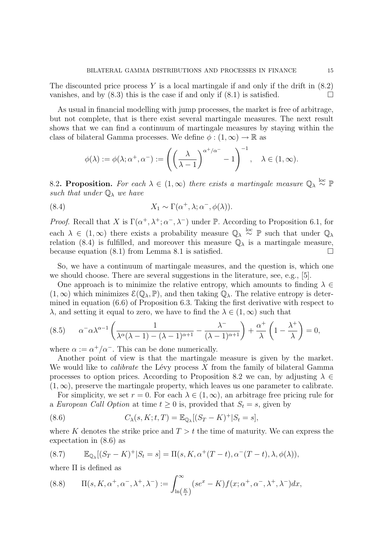The discounted price process Y is a local martingale if and only if the drift in  $(8.2)$ vanishes, and by  $(8.3)$  this is the case if and only if  $(8.1)$  is satisfied.

As usual in financial modelling with jump processes, the market is free of arbitrage, but not complete, that is there exist several martingale measures. The next result shows that we can find a continuum of martingale measures by staying within the class of bilateral Gamma processes. We define  $\phi : (1, \infty) \to \mathbb{R}$  as

$$
\phi(\lambda):=\phi(\lambda;\alpha^+,\alpha^-):=\left(\left(\frac{\lambda}{\lambda-1}\right)^{\alpha^+/\alpha^-}-1\right)^{-1},\quad\lambda\in(1,\infty).
$$

8.2. Proposition. For each  $\lambda \in (1,\infty)$  there exists a martingale measure  $\mathbb{Q}_{\lambda} \stackrel{\text{loc}}{\sim} \mathbb{P}$ such that under  $\mathbb{Q}_{\lambda}$  we have

(8.4) 
$$
X_1 \sim \Gamma(\alpha^+, \lambda; \alpha^-, \phi(\lambda)).
$$

*Proof.* Recall that X is  $\Gamma(\alpha^+, \lambda^+; \alpha^-, \lambda^-)$  under P. According to Proposition 6.1, for each  $\lambda \in (1,\infty)$  there exists a probability measure  $\mathbb{Q}_{\lambda} \stackrel{\mathrm{loc}}{\sim} \mathbb{P}$  such that under  $\mathbb{Q}_{\lambda}$ relation (8.4) is fulfilled, and moreover this measure  $\mathbb{Q}_{\lambda}$  is a martingale measure, because equation  $(8.1)$  from Lemma 8.1 is satisfied.  $\Box$ 

So, we have a continuum of martingale measures, and the question is, which one we should choose. There are several suggestions in the literature, see, e.g., [5].

One approach is to minimize the relative entropy, which amounts to finding  $\lambda \in$  $(1,\infty)$  which minimizes  $\mathcal{E}(\mathbb{Q}_{\lambda}, \mathbb{P})$ , and then taking  $\mathbb{Q}_{\lambda}$ . The relative entropy is determined in equation (6.6) of Proposition 6.3. Taking the first derivative with respect to  $\lambda$ , and setting it equal to zero, we have to find the  $\lambda \in (1,\infty)$  such that

(8.5) 
$$
\alpha^{-}\alpha\lambda^{\alpha-1}\left(\frac{1}{\lambda^{\alpha}(\lambda-1)-(\lambda-1)^{\alpha+1}}-\frac{\lambda^{-}}{(\lambda-1)^{\alpha+1}}\right)+\frac{\alpha^{+}}{\lambda}\left(1-\frac{\lambda^{+}}{\lambda}\right)=0,
$$

where  $\alpha := \alpha^+/\alpha^-$ . This can be done numerically.

Another point of view is that the martingale measure is given by the market. We would like to *calibrate* the Lévy process  $X$  from the family of bilateral Gamma processes to option prices. According to Proposition 8.2 we can, by adjusting  $\lambda \in$  $(1, \infty)$ , preserve the martingale property, which leaves us one parameter to calibrate.

For simplicity, we set  $r = 0$ . For each  $\lambda \in (1, \infty)$ , an arbitrage free pricing rule for a European Call Option at time  $t \geq 0$  is, provided that  $S_t = s$ , given by

(8.6) 
$$
C_{\lambda}(s, K; t, T) = \mathbb{E}_{\mathbb{Q}_{\lambda}}[(S_T - K)^{+}|S_t = s],
$$

where K denotes the strike price and  $T > t$  the time of maturity. We can express the expectation in (8.6) as

(8.7) 
$$
\mathbb{E}_{\mathbb{Q}_{\lambda}}[(S_T - K)^+ | S_t = s] = \Pi(s, K, \alpha^+(T - t), \alpha^-(T - t), \lambda, \phi(\lambda)),
$$

where  $\Pi$  is defined as

(8.8) 
$$
\Pi(s, K, \alpha^+, \alpha^-, \lambda^+, \lambda^-) := \int_{\ln\left(\frac{K}{s}\right)}^{\infty} (se^x - K) f(x; \alpha^+, \alpha^-, \lambda^+, \lambda^-) dx,
$$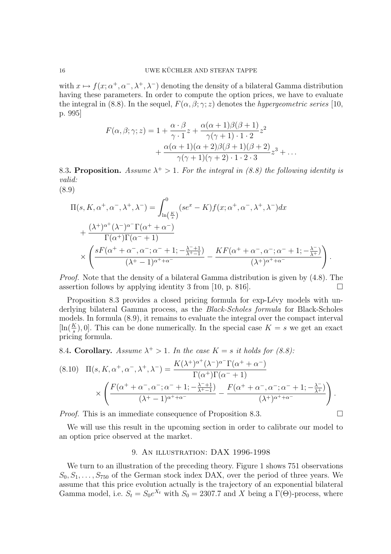with  $x \mapsto f(x; \alpha^+, \alpha^-, \lambda^+, \lambda^-)$  denoting the density of a bilateral Gamma distribution having these parameters. In order to compute the option prices, we have to evaluate the integral in (8.8). In the sequel,  $F(\alpha, \beta; \gamma; z)$  denotes the *hypergeometric series* [10, p. 995]

$$
F(\alpha, \beta; \gamma; z) = 1 + \frac{\alpha \cdot \beta}{\gamma \cdot 1} z + \frac{\alpha(\alpha + 1)\beta(\beta + 1)}{\gamma(\gamma + 1) \cdot 1 \cdot 2} z^2
$$

$$
+ \frac{\alpha(\alpha + 1)(\alpha + 2)\beta(\beta + 1)(\beta + 2)}{\gamma(\gamma + 1)(\gamma + 2) \cdot 1 \cdot 2 \cdot 3} z^3 + \dots
$$

8.3. Proposition. Assume  $\lambda^+ > 1$ . For the integral in (8.8) the following identity is valid:

(8.9)

$$
\Pi(s, K, \alpha^+, \alpha^-, \lambda^+, \lambda^-) = \int_{\ln\left(\frac{K}{s}\right)}^0 (se^x - K) f(x; \alpha^+, \alpha^-, \lambda^+, \lambda^-) dx \n+ \frac{(\lambda^+)^{\alpha^+} (\lambda^-)^{\alpha^-} \Gamma(\alpha^+ + \alpha^-)}{\Gamma(\alpha^+) \Gamma(\alpha^- + 1)} \n\times \left( \frac{sF(\alpha^+ + \alpha^-, \alpha^-, \alpha^- + 1; -\frac{\lambda^- + 1}{\lambda^+, -1})}{(\lambda^+ - 1)^{\alpha^+ + \alpha^-}} - \frac{KF(\alpha^+ + \alpha^-, \alpha^-, \alpha^- + 1; -\frac{\lambda^-}{\lambda^+})}{(\lambda^+)^{\alpha^+ + \alpha^-}} \right).
$$

Proof. Note that the density of a bilateral Gamma distribution is given by (4.8). The assertion follows by applying identity 3 from [10, p. 816].  $\Box$ 

Proposition 8.3 provides a closed pricing formula for exp-Lévy models with underlying bilateral Gamma process, as the Black-Scholes formula for Black-Scholes models. In formula (8.9), it remains to evaluate the integral over the compact interval  $[\ln(\frac{K}{s}), 0]$ . This can be done numerically. In the special case  $K = s$  we get an exact pricing formula.

8.4. Corollary. Assume  $\lambda^+ > 1$ . In the case  $K = s$  it holds for (8.8):

$$
(8.10) \Pi(s, K, \alpha^+, \alpha^-, \lambda^+, \lambda^-) = \frac{K(\lambda^+)^{\alpha^+} (\lambda^-)^{\alpha^-} \Gamma(\alpha^+ + \alpha^-)}{\Gamma(\alpha^+) \Gamma(\alpha^- + 1)}
$$

$$
\times \left( \frac{F(\alpha^+ + \alpha^-, \alpha^-, \alpha^- + 1; -\frac{\lambda^- + 1}{\lambda^+ - 1})}{(\lambda^+ - 1)^{\alpha^+ + \alpha^-}} - \frac{F(\alpha^+ + \alpha^-, \alpha^-, \alpha^- + 1; -\frac{\lambda^-}{\lambda^+})}{(\lambda^+)^{\alpha^+ + \alpha^-}} \right).
$$

*Proof.* This is an immediate consequence of Proposition 8.3.  $\Box$ 

We will use this result in the upcoming section in order to calibrate our model to an option price observed at the market.

## 9. An illustration: DAX 1996-1998

We turn to an illustration of the preceding theory. Figure 1 shows 751 observations  $S_0, S_1, \ldots, S_{750}$  of the German stock index DAX, over the period of three years. We assume that this price evolution actually is the trajectory of an exponential bilateral Gamma model, i.e.  $S_t = S_0 e^{X_t}$  with  $S_0 = 2307.7$  and X being a  $\Gamma(\Theta)$ -process, where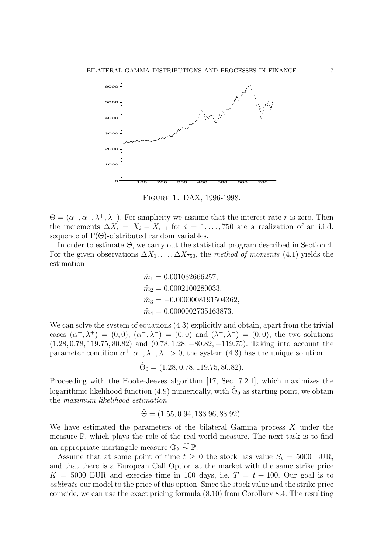

Figure 1. DAX, 1996-1998.

 $\Theta = (\alpha^+, \alpha^-, \lambda^+, \lambda^-)$ . For simplicity we assume that the interest rate r is zero. Then the increments  $\Delta X_i = X_i - X_{i-1}$  for  $i = 1, \ldots, 750$  are a realization of an i.i.d. sequence of  $\Gamma(\Theta)$ -distributed random variables.

In order to estimate Θ, we carry out the statistical program described in Section 4. For the given observations  $\Delta X_1, \ldots, \Delta X_{750}$ , the method of moments (4.1) yields the estimation

> $\hat{m}_1 = 0.001032666257,$  $\hat{m}_2 = 0.0002100280033.$  $\hat{m}_3 = -0.0000008191504362,$  $\hat{m}_4 = 0.0000002735163873.$

We can solve the system of equations  $(4.3)$  explicitly and obtain, apart from the trivial cases  $(\alpha^+, \lambda^+) = (0,0), (\alpha^-, \lambda^-) = (0,0)$  and  $(\lambda^+, \lambda^-) = (0,0)$ , the two solutions (1.28, 0.78, 119.75, 80.82) and (0.78, 1.28, −80.82, −119.75). Taking into account the parameter condition  $\alpha^+, \alpha^-, \lambda^+, \lambda^- > 0$ , the system (4.3) has the unique solution

 $\hat{\Theta}_0 = (1.28, 0.78, 119.75, 80.82).$ 

Proceeding with the Hooke-Jeeves algorithm [17, Sec. 7.2.1], which maximizes the logarithmic likelihood function (4.9) numerically, with  $\hat{\Theta}_0$  as starting point, we obtain the maximum likelihood estimation

$$
\hat{\Theta} = (1.55, 0.94, 133.96, 88.92).
$$

We have estimated the parameters of the bilateral Gamma process X under the measure P, which plays the role of the real-world measure. The next task is to find an appropriate martingale measure  $\mathbb{Q}_{\lambda} \stackrel{\text{loc}}{\sim} \mathbb{P}.$ 

Assume that at some point of time  $t > 0$  the stock has value  $S_t = 5000$  EUR, and that there is a European Call Option at the market with the same strike price  $K = 5000$  EUR and exercise time in 100 days, i.e.  $T = t + 100$ . Our goal is to calibrate our model to the price of this option. Since the stock value and the strike price coincide, we can use the exact pricing formula (8.10) from Corollary 8.4. The resulting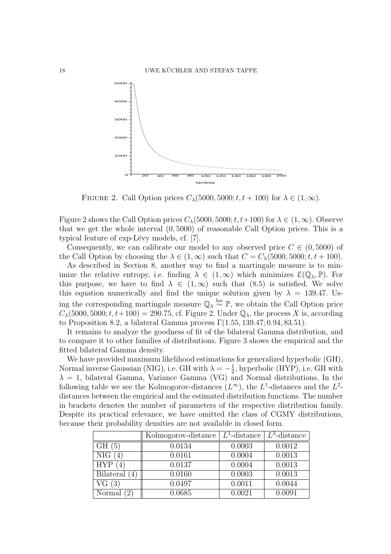

FIGURE 2. Call Option prices  $C_{\lambda}(5000, 5000; t, t + 100)$  for  $\lambda \in (1, \infty)$ .

Figure 2 shows the Call Option prices  $C_{\lambda}(5000, 5000; t, t+100)$  for  $\lambda \in (1, \infty)$ . Observe that we get the whole interval (0, 5000) of reasonable Call Option prices. This is a typical feature of exp-Lévy models, cf. [7].

Consequently, we can calibrate our model to any observed price  $C \in (0, 5000)$  of the Call Option by choosing the  $\lambda \in (1,\infty)$  such that  $C = C_{\lambda}(5000, 5000; t, t + 100)$ .

As described in Section 8, another way to find a martingale measure is to minimize the relative entropy, i.e. finding  $\lambda \in (1,\infty)$  which minimizes  $\mathcal{E}(\mathbb{Q}_{\lambda},\mathbb{P})$ . For this purpose, we have to find  $\lambda \in (1,\infty)$  such that (8.5) is satisfied. We solve this equation numerically and find the unique solution given by  $\lambda = 139.47$ . Using the corresponding martingale measure  $\mathbb{Q}_{\lambda} \stackrel{\text{loc}}{\sim} \mathbb{P}$ , we obtain the Call Option price  $C_{\lambda}(5000, 5000; t, t+100) = 290.75$ , cf. Figure 2. Under  $\mathbb{Q}_{\lambda}$ , the process X is, according to Proposition 8.2, a bilateral Gamma process  $\Gamma(1.55, 139.47; 0.94, 83.51)$ .

It remains to analyze the goodness of fit of the bilateral Gamma distribution, and to compare it to other families of distributions. Figure 3 shows the empirical and the fitted bilateral Gamma density.

We have provided maximum likelihood estimations for generalized hyperbolic (GH), Normal inverse Gaussian (NIG), i.e. GH with  $\lambda = -\frac{1}{2}$  $\frac{1}{2}$ , hyperbolic (HYP), i.e. GH with  $\lambda = 1$ , bilateral Gamma, Variance Gamma (VG) and Normal distributions. In the following table we see the Kolmogorov-distances  $(L^{\infty})$ , the  $L^{1}$ -distances and the  $L^{2}$ distances between the empirical and the estimated distribution functions. The number in brackets denotes the number of parameters of the respective distribution family. Despite its practical relevance, we have omitted the class of CGMY distributions, because their probability densities are not available in closed form.

|                 | Kolmogorov-distance | $L^1$ -distance | $L^2$ -distance |
|-----------------|---------------------|-----------------|-----------------|
| GH(5)           | 0.0134              | 0.0003          | 0.0012          |
| NIG             | 0.0161              | 0.0004          | 0.0013          |
| <b>HYP</b>      | 0.0137              | 0.0004          | 0.0013          |
| Bilateral $(4)$ | 0.0160              | 0.0003          | 0.0013          |
| VG(3)           | 0.0497              | 0.0011          | 0.0044          |
| Normal<br>12    | 0.0685              | 0.0021          | 0.0091          |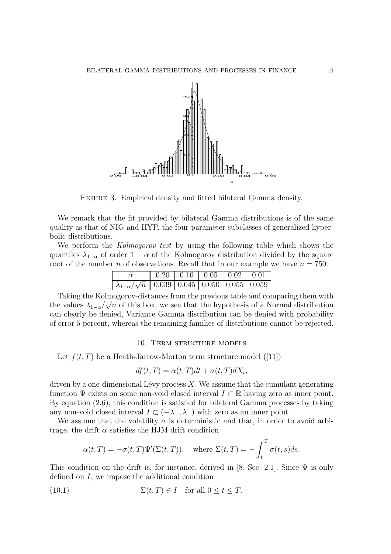

FIGURE 3. Empirical density and fitted bilateral Gamma density.

We remark that the fit provided by bilateral Gamma distributions is of the same quality as that of NIG and HYP, the four-parameter subclasses of generalized hyperbolic distributions.

We perform the *Kolmogorov test* by using the following table which shows the quantiles  $\lambda_{1-\alpha}$  of order  $1-\alpha$  of the Kolmogorov distribution divided by the square root of the number n of observations. Recall that in our example we have  $n = 750$ .

|                                                                      | $\parallel$ 0.20   0.10   0.05   0.02   0.01 |  |  |
|----------------------------------------------------------------------|----------------------------------------------|--|--|
| $\lambda_{1-\alpha}/\sqrt{n}$ $\sqrt{0.039}$ 0.045 0.050 0.055 0.059 |                                              |  |  |

Taking the Kolmogorov-distances from the previous table and comparing them with the values  $\lambda_{1-\alpha}/\sqrt{n}$  of this box, we see that the hypothesis of a Normal distribution can clearly be denied, Variance Gamma distribution can be denied with probability of error 5 percent, whereas the remaining families of distributions cannot be rejected.

## 10. TERM STRUCTURE MODELS

Let  $f(t, T)$  be a Heath-Jarrow-Morton term structure model ([11])

$$
df(t,T) = \alpha(t,T)dt + \sigma(t,T)dX_t,
$$

driven by a one-dimensional Lévy process  $X$ . We assume that the cumulant generating function  $\Psi$  exists on some non-void closed interval  $I \subset \mathbb{R}$  having zero as inner point. By equation (2.6), this condition is satisfied for bilateral Gamma processes by taking any non-void closed interval  $I \subset (-\lambda^-, \lambda^+)$  with zero as an inner point.

We assume that the volatility  $\sigma$  is deterministic and that, in order to avoid arbitrage, the drift  $\alpha$  satisfies the HJM drift condition

$$
\alpha(t,T) = -\sigma(t,T)\Psi'(\Sigma(t,T)),
$$
 where  $\Sigma(t,T) = -\int_t^T \sigma(t,s)ds.$ 

This condition on the drift is, for instance, derived in [8, Sec. 2.1]. Since  $\Psi$  is only defined on I, we impose the additional condition

(10.1) 
$$
\Sigma(t,T) \in I \quad \text{for all } 0 \le t \le T.
$$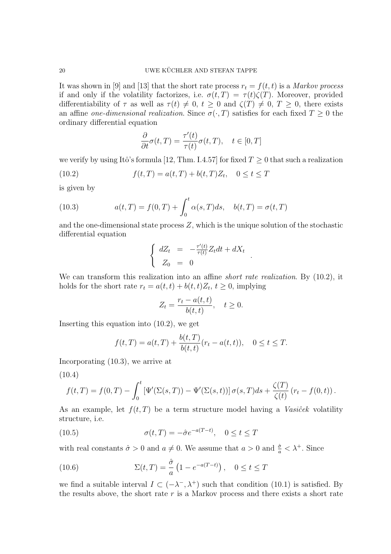It was shown in [9] and [13] that the short rate process  $r_t = f(t, t)$  is a *Markov process* if and only if the volatility factorizes, i.e.  $\sigma(t,T) = \tau(t)\zeta(T)$ . Moreover, provided differentiability of  $\tau$  as well as  $\tau(t) \neq 0, t \geq 0$  and  $\zeta(T) \neq 0, T \geq 0$ , there exists an affine one-dimensional realization. Since  $\sigma(\cdot, T)$  satisfies for each fixed  $T \geq 0$  the ordinary differential equation

$$
\frac{\partial}{\partial t}\sigma(t,T) = \frac{\tau'(t)}{\tau(t)}\sigma(t,T), \quad t \in [0,T]
$$

we verify by using Itô's formula [12, Thm. I.4.57] for fixed  $T \geq 0$  that such a realization

(10.2) 
$$
f(t,T) = a(t,T) + b(t,T)Z_t, \quad 0 \le t \le T
$$

is given by

(10.3) 
$$
a(t,T) = f(0,T) + \int_0^t \alpha(s,T)ds, \quad b(t,T) = \sigma(t,T)
$$

and the one-dimensional state process Z, which is the unique solution of the stochastic differential equation

$$
\begin{cases}\ndZ_t = -\frac{\tau'(t)}{\tau(t)} Z_t dt + dX_t \\
Z_0 = 0\n\end{cases}
$$

.

We can transform this realization into an affine *short rate realization*. By  $(10.2)$ , it holds for the short rate  $r_t = a(t, t) + b(t, t)Z_t$ ,  $t \geq 0$ , implying

$$
Z_t = \frac{r_t - a(t, t)}{b(t, t)}, \quad t \ge 0.
$$

Inserting this equation into (10.2), we get

$$
f(t,T) = a(t,T) + \frac{b(t,T)}{b(t,t)}(r_t - a(t,t)), \quad 0 \le t \le T.
$$

Incorporating (10.3), we arrive at

(10.4)

$$
f(t,T) = f(0,T) - \int_0^t \left[ \Psi'(\Sigma(s,T)) - \Psi'(\Sigma(s,t)) \right] \sigma(s,T) ds + \frac{\zeta(T)}{\zeta(t)} (r_t - f(0,t)).
$$

As an example, let  $f(t, T)$  be a term structure model having a *Vasicek* volatility structure, i.e.

(10.5) 
$$
\sigma(t,T) = -\hat{\sigma}e^{-a(T-t)}, \quad 0 \le t \le T
$$

with real constants  $\hat{\sigma} > 0$  and  $a \neq 0$ . We assume that  $a > 0$  and  $\frac{\hat{\sigma}}{a} < \lambda^{+}$ . Since

(10.6) 
$$
\Sigma(t,T) = \frac{\hat{\sigma}}{a} \left( 1 - e^{-a(T-t)} \right), \quad 0 \le t \le T
$$

we find a suitable interval  $I \subset (-\lambda^-, \lambda^+)$  such that condition (10.1) is satisfied. By the results above, the short rate  $r$  is a Markov process and there exists a short rate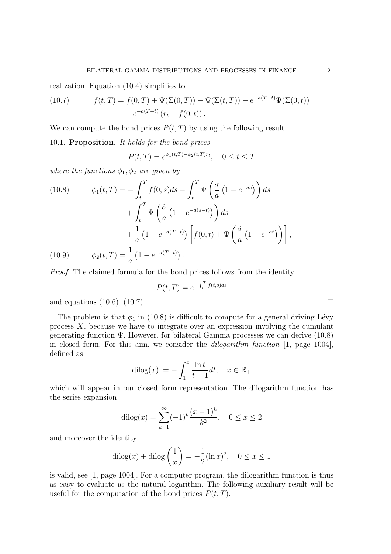realization. Equation (10.4) simplifies to

(10.7) 
$$
f(t,T) = f(0,T) + \Psi(\Sigma(0,T)) - \Psi(\Sigma(t,T)) - e^{-a(T-t)}\Psi(\Sigma(0,t)) + e^{-a(T-t)}(r_t - f(0,t)).
$$

We can compute the bond prices  $P(t, T)$  by using the following result.

10.1. Proposition. It holds for the bond prices

$$
P(t,T) = e^{\phi_1(t,T) - \phi_2(t,T)r_t}, \quad 0 \le t \le T
$$

where the functions  $\phi_1, \phi_2$  are given by

(10.8) 
$$
\phi_1(t,T) = -\int_t^T f(0,s)ds - \int_t^T \Psi\left(\frac{\hat{\sigma}}{a}\left(1 - e^{-as}\right)\right)ds
$$

$$
+ \int_t^T \Psi\left(\frac{\hat{\sigma}}{a}\left(1 - e^{-a(s-t)}\right)\right)ds
$$

$$
+ \frac{1}{a}\left(1 - e^{-a(T-t)}\right)\left[f(0,t) + \Psi\left(\frac{\hat{\sigma}}{a}\left(1 - e^{-at}\right)\right)\right],
$$
  
(10.9) 
$$
\phi_2(t,T) = \frac{1}{a}\left(1 - e^{-a(T-t)}\right).
$$

Proof. The claimed formula for the bond prices follows from the identity

$$
P(t,T) = e^{-\int_t^T f(t,s)ds}
$$

and equations (10.6), (10.7).  $\Box$ 

The problem is that  $\phi_1$  in (10.8) is difficult to compute for a general driving Lévy process  $X$ , because we have to integrate over an expression involving the cumulant generating function  $\Psi$ . However, for bilateral Gamma processes we can derive (10.8) in closed form. For this aim, we consider the *dilogarithm function*  $[1, \text{ page } 1004]$ , defined as

$$
d \operatorname{ilog}(x) := -\int_1^x \frac{\ln t}{t-1} dt, \quad x \in \mathbb{R}_+
$$

which will appear in our closed form representation. The dilogarithm function has the series expansion

$$
d \text{ilog}(x) = \sum_{k=1}^{\infty} (-1)^k \frac{(x-1)^k}{k^2}, \quad 0 \le x \le 2
$$

and moreover the identity

$$
dilog(x) + diag\left(\frac{1}{x}\right) = -\frac{1}{2} (ln x)^2, \quad 0 \le x \le 1
$$

is valid, see [1, page 1004]. For a computer program, the dilogarithm function is thus as easy to evaluate as the natural logarithm. The following auxiliary result will be useful for the computation of the bond prices  $P(t, T)$ .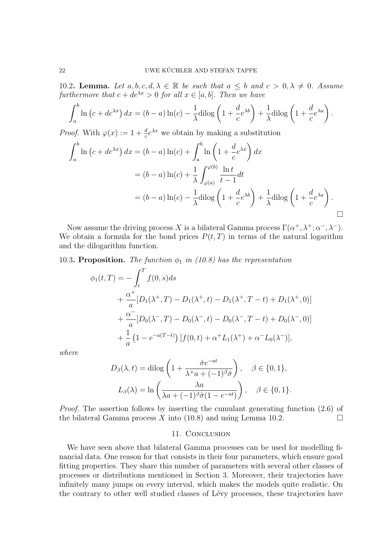10.2. Lemma. Let  $a, b, c, d, \lambda \in \mathbb{R}$  be such that  $a \leq b$  and  $c > 0, \lambda \neq 0$ . Assume furthermore that  $c + de^{\lambda x} > 0$  for all  $x \in [a, b]$ . Then we have

$$
\int_a^b \ln\left(c+de^{\lambda x}\right)dx = (b-a)\ln(c) - \frac{1}{\lambda}\text{dilog}\left(1+\frac{d}{c}e^{\lambda b}\right) + \frac{1}{\lambda}\text{dilog}\left(1+\frac{d}{c}e^{\lambda a}\right).
$$

*Proof.* With  $\varphi(x) := 1 + \frac{d}{c} e^{\lambda x}$  we obtain by making a substitution

$$
\int_{a}^{b} \ln (c + de^{\lambda x}) dx = (b - a) \ln(c) + \int_{a}^{b} \ln \left( 1 + \frac{d}{c} e^{\lambda x} \right) dx
$$
  
=  $(b - a) \ln(c) + \frac{1}{\lambda} \int_{\varphi(a)}^{\varphi(b)} \frac{\ln t}{t - 1} dt$   
=  $(b - a) \ln(c) - \frac{1}{\lambda} \text{dilog} \left( 1 + \frac{d}{c} e^{\lambda b} \right) + \frac{1}{\lambda} \text{dilog} \left( 1 + \frac{d}{c} e^{\lambda a} \right).$ 

Now assume the driving process X is a bilateral Gamma process  $\Gamma(\alpha^+, \lambda^+; \alpha^-, \lambda^-)$ . We obtain a formula for the bond prices  $P(t, T)$  in terms of the natural logarithm and the dilogarithm function.

10.3. Proposition. The function  $\phi_1$  in (10.8) has the representation

$$
\phi_1(t,T) = -\int_t^T f(0,s)ds
$$
  
+  $\frac{\alpha^+}{a} [D_1(\lambda^+,T) - D_1(\lambda^+,t) - D_1(\lambda^+,T-t) + D_1(\lambda^+,0)]$   
+  $\frac{\alpha^-}{a} [D_0(\lambda^-,T) - D_0(\lambda^-,t) - D_0(\lambda^-,T-t) + D_0(\lambda^-,0)]$   
+  $\frac{1}{a} (1 - e^{-a(T-t)}) [f(0,t) + \alpha^+ L_1(\lambda^+) + \alpha^- L_0(\lambda^-)],$ 

where

$$
D_{\beta}(\lambda, t) = \text{dilog}\left(1 + \frac{\hat{\sigma}e^{-at}}{\lambda^+ a + (-1)^{\beta}\hat{\sigma}}\right), \quad \beta \in \{0, 1\},
$$

$$
L_{\beta}(\lambda) = \ln\left(\frac{\lambda a}{\lambda a + (-1)^{\beta}\hat{\sigma}(1 - e^{-at})}\right), \quad \beta \in \{0, 1\}.
$$

Proof. The assertion follows by inserting the cumulant generating function (2.6) of the bilateral Gamma process X into (10.8) and using Lemma 10.2.  $\Box$ 

#### 11. Conclusion

We have seen above that bilateral Gamma processes can be used for modelling financial data. One reason for that consists in their four parameters, which ensure good fitting properties. They share this number of parameters with several other classes of processes or distributions mentioned in Section 3. Moreover, their trajectories have infinitely many jumps on every interval, which makes the models quite realistic. On the contrary to other well studied classes of Lévy processes, these trajectories have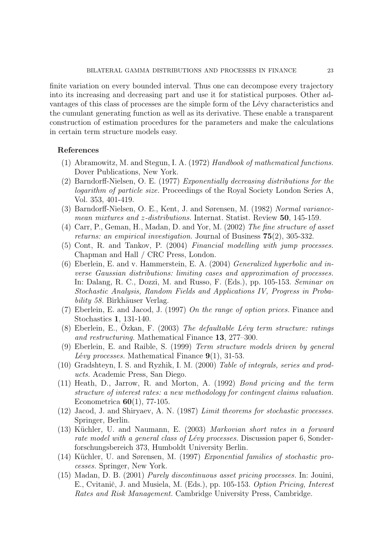finite variation on every bounded interval. Thus one can decompose every trajectory into its increasing and decreasing part and use it for statistical purposes. Other advantages of this class of processes are the simple form of the Lévy characteristics and the cumulant generating function as well as its derivative. These enable a transparent construction of estimation procedures for the parameters and make the calculations in certain term structure models easy.

## References

- (1) Abramowitz, M. and Stegun, I. A. (1972) Handbook of mathematical functions. Dover Publications, New York.
- (2) Barndorff-Nielsen, O. E. (1977) Exponentially decreasing distributions for the logarithm of particle size. Proceedings of the Royal Society London Series A, Vol. 353, 401-419.
- (3) Barndorff-Nielsen, O. E., Kent, J. and Sørensen, M. (1982) Normal variancemean mixtures and z-distributions. Internat. Statist. Review 50, 145-159.
- (4) Carr, P., Geman, H., Madan, D. and Yor, M. (2002) The fine structure of asset returns: an empirical investigation. Journal of Business 75(2), 305-332.
- (5) Cont, R. and Tankov, P. (2004) Financial modelling with jump processes. Chapman and Hall / CRC Press, London.
- (6) Eberlein, E. and v. Hammerstein, E. A. (2004) Generalized hyperbolic and inverse Gaussian distributions: limiting cases and approximation of processes. In: Dalang, R. C., Dozzi, M. and Russo, F. (Eds.), pp. 105-153. Seminar on Stochastic Analysis, Random Fields and Applications IV, Progress in Probability 58. Birkhäuser Verlag.
- (7) Eberlein, E. and Jacod, J. (1997) On the range of option prices. Finance and Stochastics 1, 131-140.
- (8) Eberlein, E., Özkan, F. (2003) The defaultable Lévy term structure: ratings and restructuring. Mathematical Finance 13, 277–300.
- (9) Eberlein, E. and Raible, S. (1999) Term structure models driven by general Lévy processes. Mathematical Finance  $9(1)$ , 31-53.
- (10) Gradshteyn, I. S. and Ryzhik, I. M. (2000) Table of integrals, series and products. Academic Press, San Diego.
- (11) Heath, D., Jarrow, R. and Morton, A. (1992) Bond pricing and the term structure of interest rates: a new methodology for contingent claims valuation. Econometrica 60(1), 77-105.
- (12) Jacod, J. and Shiryaev, A. N. (1987) Limit theorems for stochastic processes. Springer, Berlin.
- $(13)$  Küchler, U. and Naumann, E.  $(2003)$  *Markovian short rates in a forward* rate model with a general class of Lévy processes. Discussion paper 6, Sonderforschungsbereich 373, Humboldt University Berlin.
- (14) Küchler, U. and Sørensen, M. (1997) Exponential families of stochastic processes. Springer, New York.
- (15) Madan, D. B. (2001) Purely discontinuous asset pricing processes. In: Jouini, E., Cvitanič, J. and Musiela, M. (Eds.), pp. 105-153. Option Pricing, Interest Rates and Risk Management. Cambridge University Press, Cambridge.